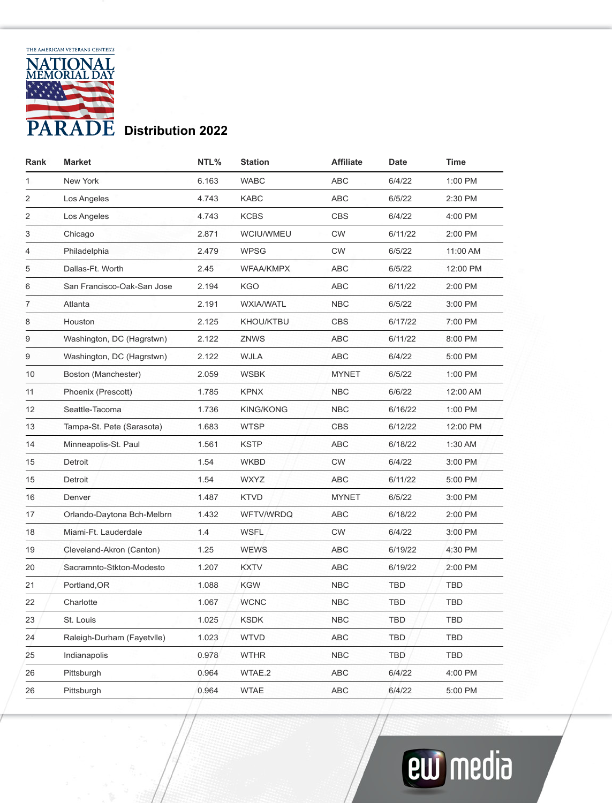

| Rank | <b>Market</b>              | NTL%  | <b>Station</b>   | <b>Affiliate</b> | Date       | Time       |
|------|----------------------------|-------|------------------|------------------|------------|------------|
| 1    | New York                   | 6.163 | <b>WABC</b>      | <b>ABC</b>       | 6/4/22     | 1:00 PM    |
| 2    | Los Angeles                | 4.743 | <b>KABC</b>      | <b>ABC</b>       | 6/5/22     | 2:30 PM    |
| 2    | Los Angeles                | 4.743 | <b>KCBS</b>      | <b>CBS</b>       | 6/4/22     | 4:00 PM    |
| 3    | Chicago                    | 2.871 | WCIU/WMEU        | <b>CW</b>        | 6/11/22    | 2:00 PM    |
| 4    | Philadelphia               | 2.479 | <b>WPSG</b>      | <b>CW</b>        | 6/5/22     | 11:00 AM   |
| 5    | Dallas-Ft. Worth           | 2.45  | <b>WFAA/KMPX</b> | <b>ABC</b>       | 6/5/22     | 12:00 PM   |
| 6    | San Francisco-Oak-San Jose | 2.194 | <b>KGO</b>       | <b>ABC</b>       | 6/11/22    | 2:00 PM    |
| 7    | Atlanta                    | 2.191 | <b>WXIA/WATL</b> | <b>NBC</b>       | 6/5/22     | 3:00 PM    |
| 8    | Houston                    | 2.125 | <b>KHOU/KTBU</b> | <b>CBS</b>       | 6/17/22    | 7:00 PM    |
| 9    | Washington, DC (Hagrstwn)  | 2.122 | <b>ZNWS</b>      | <b>ABC</b>       | 6/11/22    | 8:00 PM    |
| 9    | Washington, DC (Hagrstwn)  | 2.122 | <b>WJLA</b>      | <b>ABC</b>       | 6/4/22     | 5:00 PM    |
| 10   | Boston (Manchester)        | 2.059 | <b>WSBK</b>      | <b>MYNET</b>     | 6/5/22     | 1:00 PM    |
| 11   | Phoenix (Prescott)         | 1.785 | <b>KPNX</b>      | <b>NBC</b>       | 6/6/22     | 12:00 AM   |
| 12   | Seattle-Tacoma             | 1.736 | <b>KING/KONG</b> | <b>NBC</b>       | 6/16/22    | 1:00 PM    |
| 13   | Tampa-St. Pete (Sarasota)  | 1.683 | <b>WTSP</b>      | <b>CBS</b>       | 6/12/22    | 12:00 PM   |
| 14   | Minneapolis-St. Paul       | 1.561 | <b>KSTP</b>      | <b>ABC</b>       | 6/18/22    | 1:30 AM    |
| 15   | Detroit                    | 1.54  | WKBD             | <b>CW</b>        | 6/4/22     | 3:00 PM    |
| 15   | Detroit                    | 1.54  | <b>WXYZ</b>      | ABC              | 6/11/22    | 5:00 PM    |
| 16   | Denver                     | 1.487 | <b>KTVD</b>      | <b>MYNET</b>     | 6/5/22     | 3:00 PM    |
| 17   | Orlando-Daytona Bch-Melbrn | 1.432 | WFTV/WRDQ        | <b>ABC</b>       | 6/18/22    | 2:00 PM    |
| 18   | Miami-Ft. Lauderdale       | 1.4   | <b>WSFL</b>      | <b>CW</b>        | 6/4/22     | 3:00 PM    |
| 19   | Cleveland-Akron (Canton)   | 1.25  | <b>WEWS</b>      | ABC              | 6/19/22    | 4:30 PM    |
| 20   | Sacramnto-Stkton-Modesto   | 1.207 | <b>KXTV</b>      | <b>ABC</b>       | 6/19/22    | 2:00 PM    |
| 21   | Portland, OR               | 1.088 | <b>KGW</b>       | <b>NBC</b>       | <b>TBD</b> | <b>TBD</b> |
| 22   | Charlotte                  | 1.067 | <b>WCNC</b>      | <b>NBC</b>       | TBD        | TBD        |
| 23   | St. Louis                  | 1.025 | <b>KSDK</b>      | <b>NBC</b>       | TBD        | <b>TBD</b> |
| 24   | Raleigh-Durham (Fayetvlle) | 1.023 | <b>WTVD</b>      | <b>ABC</b>       | TBD        | <b>TBD</b> |
| 25   | Indianapolis               | 0.978 | <b>WTHR</b>      | <b>NBC</b>       | TBD        | <b>TBD</b> |
| 26   | Pittsburgh                 | 0.964 | WTAE.2           | ABC              | 6/4/22     | 4:00 PM    |
| 26   | Pittsburgh                 | 0.964 | <b>WTAE</b>      | <b>ABC</b>       | 6/4/22     | 5:00 PM    |

## **ew** media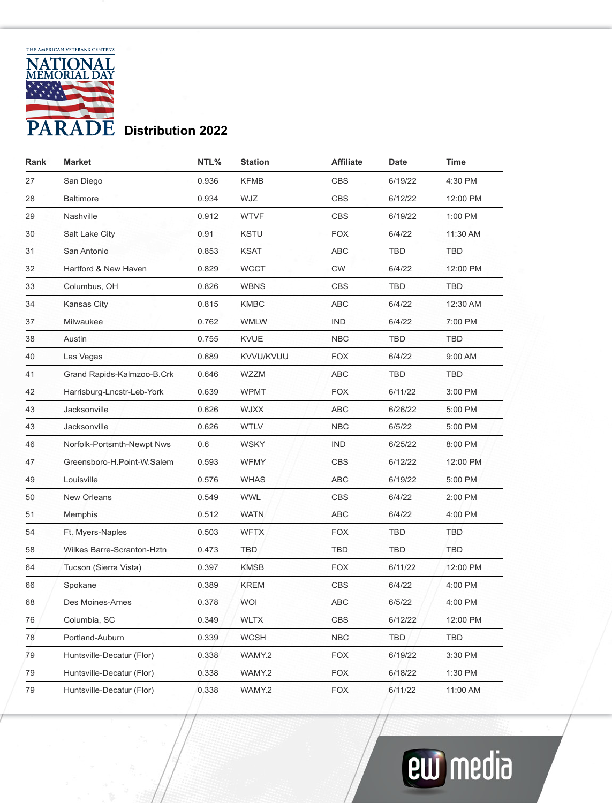

| Rank | <b>Market</b>              | NTL%  | <b>Station</b> | <b>Affiliate</b> | Date       | Time       |
|------|----------------------------|-------|----------------|------------------|------------|------------|
| 27   | San Diego                  | 0.936 | <b>KFMB</b>    | <b>CBS</b>       | 6/19/22    | 4:30 PM    |
| 28   | <b>Baltimore</b>           | 0.934 | WJZ            | <b>CBS</b>       | 6/12/22    | 12:00 PM   |
| 29   | Nashville                  | 0.912 | <b>WTVF</b>    | <b>CBS</b>       | 6/19/22    | 1:00 PM    |
| 30   | Salt Lake City             | 0.91  | <b>KSTU</b>    | <b>FOX</b>       | 6/4/22     | 11:30 AM   |
| 31   | San Antonio                | 0.853 | <b>KSAT</b>    | <b>ABC</b>       | TBD        | <b>TBD</b> |
| 32   | Hartford & New Haven       | 0.829 | <b>WCCT</b>    | <b>CW</b>        | 6/4/22     | 12:00 PM   |
| 33   | Columbus, OH               | 0.826 | <b>WBNS</b>    | <b>CBS</b>       | <b>TBD</b> | <b>TBD</b> |
| 34   | <b>Kansas City</b>         | 0.815 | <b>KMBC</b>    | <b>ABC</b>       | 6/4/22     | 12:30 AM   |
| 37   | Milwaukee                  | 0.762 | <b>WMLW</b>    | <b>IND</b>       | 6/4/22     | 7:00 PM    |
| 38   | Austin                     | 0.755 | <b>KVUE</b>    | <b>NBC</b>       | <b>TBD</b> | <b>TBD</b> |
| 40   | Las Vegas                  | 0.689 | KVVU/KVUU      | <b>FOX</b>       | 6/4/22     | 9:00 AM    |
| 41   | Grand Rapids-Kalmzoo-B.Crk | 0.646 | WZZM           | <b>ABC</b>       | <b>TBD</b> | <b>TBD</b> |
| 42   | Harrisburg-Lncstr-Leb-York | 0.639 | <b>WPMT</b>    | <b>FOX</b>       | 6/11/22    | 3:00 PM    |
| 43   | Jacksonville               | 0.626 | <b>WJXX</b>    | <b>ABC</b>       | 6/26/22    | 5:00 PM    |
| 43   | Jacksonville               | 0.626 | <b>WTLV</b>    | <b>NBC</b>       | 6/5/22     | 5:00 PM    |
| 46   | Norfolk-Portsmth-Newpt Nws | 0.6   | <b>WSKY</b>    | <b>IND</b>       | 6/25/22    | 8:00 PM    |
| 47   | Greensboro-H.Point-W.Salem | 0.593 | <b>WFMY</b>    | <b>CBS</b>       | 6/12/22    | 12:00 PM   |
| 49   | Louisville                 | 0.576 | <b>WHAS</b>    | <b>ABC</b>       | 6/19/22    | 5:00 PM    |
| 50   | New Orleans                | 0.549 | <b>WWL</b>     | <b>CBS</b>       | 6/4/22     | 2:00 PM    |
| 51   | Memphis                    | 0.512 | <b>WATN</b>    | <b>ABC</b>       | 6/4/22     | 4:00 PM    |
| 54   | Ft. Myers-Naples           | 0.503 | <b>WFTX</b>    | <b>FOX</b>       | <b>TBD</b> | TBD        |
| 58   | Wilkes Barre-Scranton-Hztn | 0.473 | <b>TBD</b>     | <b>TBD</b>       | TBD        | TBD        |
| 64   | Tucson (Sierra Vista)      | 0.397 | <b>KMSB</b>    | <b>FOX</b>       | 6/11/22    | 12:00 PM   |
| 66   | Spokane                    | 0.389 | <b>KREM</b>    | <b>CBS</b>       | 6/4/22     | 4:00 PM    |
| 68   | Des Moines-Ames            | 0.378 | <b>WOI</b>     | <b>ABC</b>       | 6/5/22     | 4:00 PM    |
| 76   | Columbia, SC               | 0.349 | <b>WLTX</b>    | <b>CBS</b>       | 6/12/22    | 12:00 PM   |
| 78   | Portland-Auburn            | 0.339 | <b>WCSH</b>    | <b>NBC</b>       | <b>TBD</b> | <b>TBD</b> |
| 79   | Huntsville-Decatur (Flor)  | 0.338 | WAMY.2         | <b>FOX</b>       | 6/19/22    | 3:30 PM    |
| 79   | Huntsville-Decatur (Flor)  | 0.338 | WAMY.2         | <b>FOX</b>       | 6/18/22    | 1:30 PM    |
| 79   | Huntsville-Decatur (Flor)  | 0.338 | WAMY.2         | <b>FOX</b>       | 6/11/22    | 11:00 AM   |

## **ew** media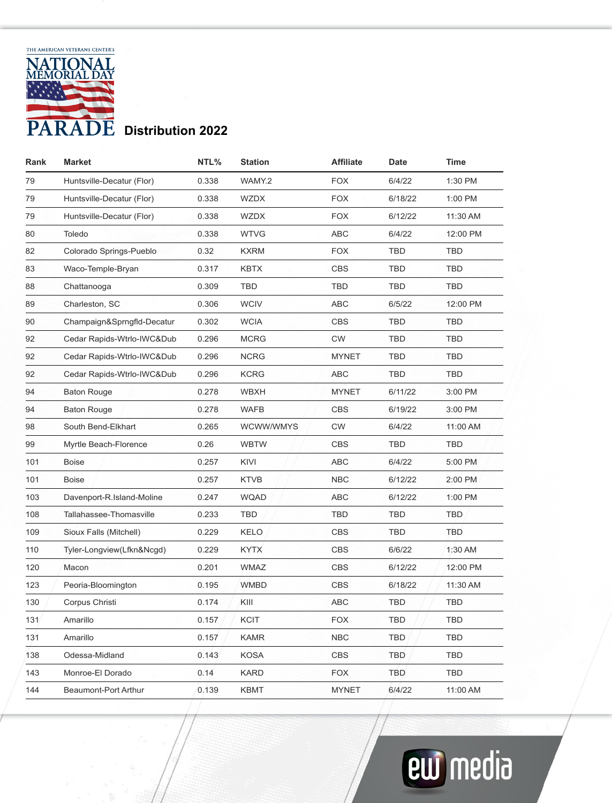

| Rank | <b>Market</b>              | NTL%  | <b>Station</b> | Affiliate    | Date       | Time       |
|------|----------------------------|-------|----------------|--------------|------------|------------|
| 79   | Huntsville-Decatur (Flor)  | 0.338 | WAMY.2         | <b>FOX</b>   | 6/4/22     | 1:30 PM    |
| 79   | Huntsville-Decatur (Flor)  | 0.338 | <b>WZDX</b>    | <b>FOX</b>   | 6/18/22    | 1:00 PM    |
| 79   | Huntsville-Decatur (Flor)  | 0.338 | <b>WZDX</b>    | <b>FOX</b>   | 6/12/22    | 11:30 AM   |
| 80   | Toledo                     | 0.338 | <b>WTVG</b>    | <b>ABC</b>   | 6/4/22     | 12:00 PM   |
| 82   | Colorado Springs-Pueblo    | 0.32  | <b>KXRM</b>    | <b>FOX</b>   | <b>TBD</b> | <b>TBD</b> |
| 83   | Waco-Temple-Bryan          | 0.317 | <b>KBTX</b>    | <b>CBS</b>   | <b>TBD</b> | <b>TBD</b> |
| 88   | Chattanooga                | 0.309 | <b>TBD</b>     | <b>TBD</b>   | <b>TBD</b> | <b>TBD</b> |
| 89   | Charleston, SC             | 0.306 | <b>WCIV</b>    | <b>ABC</b>   | 6/5/22     | 12:00 PM   |
| 90   | Champaign&Sprngfld-Decatur | 0.302 | <b>WCIA</b>    | <b>CBS</b>   | <b>TBD</b> | <b>TBD</b> |
| 92   | Cedar Rapids-Wtrlo-IWC&Dub | 0.296 | <b>MCRG</b>    | <b>CW</b>    | <b>TBD</b> | <b>TBD</b> |
| 92   | Cedar Rapids-Wtrlo-IWC&Dub | 0.296 | <b>NCRG</b>    | <b>MYNET</b> | <b>TBD</b> | <b>TBD</b> |
| 92   | Cedar Rapids-Wtrlo-IWC&Dub | 0.296 | <b>KCRG</b>    | <b>ABC</b>   | <b>TBD</b> | <b>TBD</b> |
| 94   | <b>Baton Rouge</b>         | 0.278 | <b>WBXH</b>    | <b>MYNET</b> | 6/11/22    | 3:00 PM    |
| 94   | <b>Baton Rouge</b>         | 0.278 | <b>WAFB</b>    | <b>CBS</b>   | 6/19/22    | 3:00 PM    |
| 98   | South Bend-Elkhart         | 0.265 | WCWW/WMYS      | <b>CW</b>    | 6/4/22     | 11:00 AM   |
| 99   | Myrtle Beach-Florence      | 0.26  | <b>WBTW</b>    | <b>CBS</b>   | <b>TBD</b> | TBD        |
| 101  | <b>Boise</b>               | 0.257 | KIVI           | <b>ABC</b>   | 6/4/22     | 5:00 PM    |
| 101  | <b>Boise</b>               | 0.257 | <b>KTVB</b>    | <b>NBC</b>   | 6/12/22    | 2:00 PM    |
| 103  | Davenport-R.Island-Moline  | 0.247 | <b>WQAD</b>    | <b>ABC</b>   | 6/12/22    | 1:00 PM    |
| 108  | Tallahassee-Thomasville    | 0.233 | <b>TBD</b>     | <b>TBD</b>   | <b>TBD</b> | <b>TBD</b> |
| 109  | Sioux Falls (Mitchell)     | 0.229 | <b>KELO</b>    | <b>CBS</b>   | <b>TBD</b> | <b>TBD</b> |
| 110  | Tyler-Longview(Lfkn&Ncgd)  | 0.229 | <b>KYTX</b>    | <b>CBS</b>   | 6/6/22     | 1:30 AM    |
| 120  | Macon                      | 0.201 | <b>WMAZ</b>    | <b>CBS</b>   | 6/12/22    | 12:00 PM   |
| 123  | Peoria-Bloomington         | 0.195 | <b>WMBD</b>    | <b>CBS</b>   | 6/18/22    | 11:30 AM   |
| 130  | Corpus Christi             | 0.174 | KIII           | <b>ABC</b>   | <b>TBD</b> | <b>TBD</b> |
| 131  | Amarillo                   | 0.157 | <b>KCIT</b>    | <b>FOX</b>   | <b>TBD</b> | <b>TBD</b> |
| 131  | Amarillo                   | 0.157 | <b>KAMR</b>    | <b>NBC</b>   | <b>TBD</b> | <b>TBD</b> |
| 138  | Odessa-Midland             | 0.143 | <b>KOSA</b>    | <b>CBS</b>   | <b>TBD</b> | <b>TBD</b> |
| 143  | Monroe-El Dorado           | 0.14  | <b>KARD</b>    | <b>FOX</b>   | TBD        | <b>TBD</b> |
| 144  | Beaumont-Port Arthur       | 0.139 | <b>KBMT</b>    | <b>MYNET</b> | 6/4/22     | 11:00 AM   |

## **ew** media